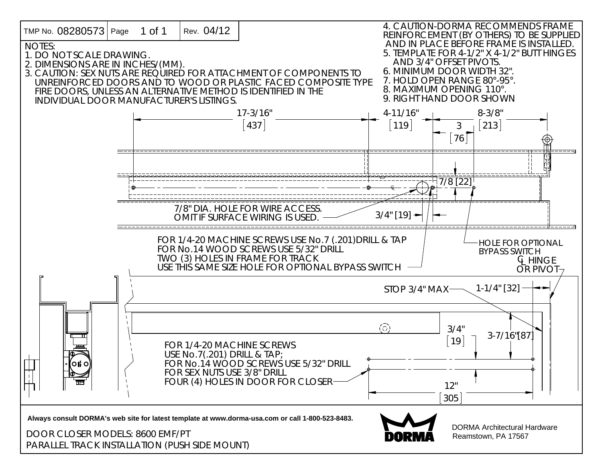